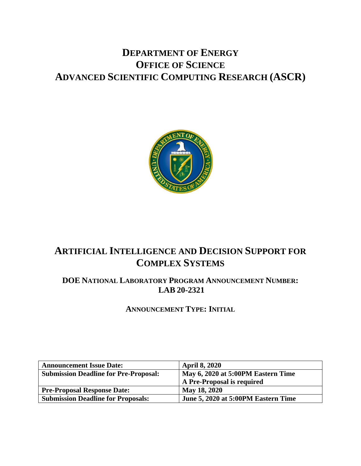# **DEPARTMENT OF ENERGY OFFICE OF SCIENCE ADVANCED SCIENTIFIC COMPUTING RESEARCH (ASCR)**



# **ARTIFICIAL INTELLIGENCE AND DECISION SUPPORT FOR COMPLEX SYSTEMS**

# **DOE NATIONAL LABORATORY PROGRAM ANNOUNCEMENT NUMBER: LAB 20-2321**

**ANNOUNCEMENT TYPE: INITIAL**

| <b>Announcement Issue Date:</b>              | <b>April 8, 2020</b>                |  |  |
|----------------------------------------------|-------------------------------------|--|--|
| <b>Submission Deadline for Pre-Proposal:</b> | May 6, 2020 at 5:00PM Eastern Time  |  |  |
|                                              | A Pre-Proposal is required          |  |  |
| <b>Pre-Proposal Response Date:</b>           | May 18, 2020                        |  |  |
| <b>Submission Deadline for Proposals:</b>    | June 5, 2020 at 5:00PM Eastern Time |  |  |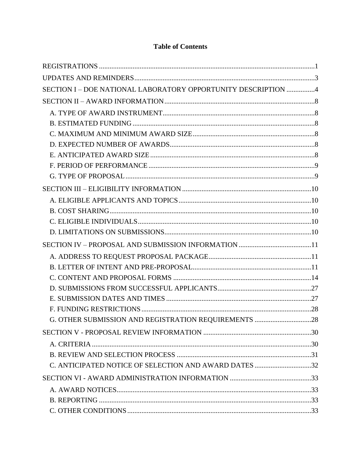| SECTION I - DOE NATIONAL LABORATORY OPPORTUNITY DESCRIPTION 4 |  |
|---------------------------------------------------------------|--|
|                                                               |  |
|                                                               |  |
|                                                               |  |
|                                                               |  |
|                                                               |  |
|                                                               |  |
|                                                               |  |
|                                                               |  |
|                                                               |  |
|                                                               |  |
|                                                               |  |
|                                                               |  |
|                                                               |  |
|                                                               |  |
|                                                               |  |
|                                                               |  |
|                                                               |  |
|                                                               |  |
|                                                               |  |
|                                                               |  |
| G. OTHER SUBMISSION AND REGISTRATION REQUIREMENTS 28          |  |
|                                                               |  |
|                                                               |  |
|                                                               |  |
| C. ANTICIPATED NOTICE OF SELECTION AND AWARD DATES 32         |  |
|                                                               |  |
|                                                               |  |
|                                                               |  |
|                                                               |  |

# **Table of Contents**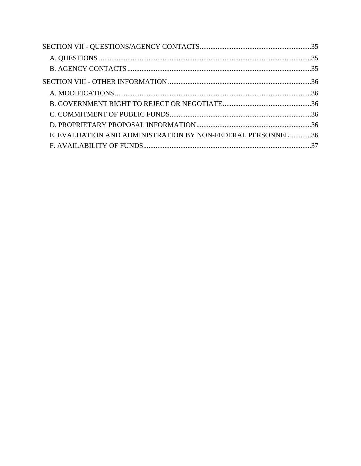| E. EVALUATION AND ADMINISTRATION BY NON-FEDERAL PERSONNEL 36 |  |
|--------------------------------------------------------------|--|
|                                                              |  |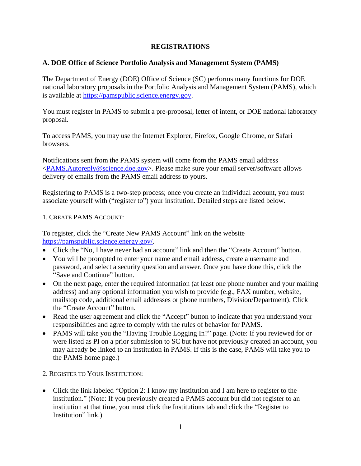# **REGISTRATIONS**

### <span id="page-3-1"></span><span id="page-3-0"></span>**A. DOE Office of Science Portfolio Analysis and Management System (PAMS)**

The Department of Energy (DOE) Office of Science (SC) performs many functions for DOE national laboratory proposals in the Portfolio Analysis and Management System (PAMS), which is available at [https://pamspublic.science.energy.gov.](https://pamspublic.science.energy.gov/)

You must register in PAMS to submit a pre-proposal, letter of intent, or DOE national laboratory proposal.

To access PAMS, you may use the Internet Explorer, Firefox, Google Chrome, or Safari browsers.

Notifications sent from the PAMS system will come from the PAMS email address [<PAMS.Autoreply@science.doe.gov>](mailto:PAMS.Autoreply@science.doe.gov). Please make sure your email server/software allows delivery of emails from the PAMS email address to yours.

Registering to PAMS is a two-step process; once you create an individual account, you must associate yourself with ("register to") your institution. Detailed steps are listed below.

### 1. CREATE PAMS ACCOUNT:

To register, click the "Create New PAMS Account" link on the website [https://pamspublic.science.energy.gov/.](https://pamspublic.science.energy.gov/)

- Click the "No, I have never had an account" link and then the "Create Account" button.
- You will be prompted to enter your name and email address, create a username and password, and select a security question and answer. Once you have done this, click the "Save and Continue" button.
- On the next page, enter the required information (at least one phone number and your mailing address) and any optional information you wish to provide (e.g., FAX number, website, mailstop code, additional email addresses or phone numbers, Division/Department). Click the "Create Account" button.
- Read the user agreement and click the "Accept" button to indicate that you understand your responsibilities and agree to comply with the rules of behavior for PAMS.
- PAMS will take you the "Having Trouble Logging In?" page. (Note: If you reviewed for or were listed as PI on a prior submission to SC but have not previously created an account, you may already be linked to an institution in PAMS. If this is the case, PAMS will take you to the PAMS home page.)
- 2. REGISTER TO YOUR INSTITUTION:
- Click the link labeled "Option 2: I know my institution and I am here to register to the institution." (Note: If you previously created a PAMS account but did not register to an institution at that time, you must click the Institutions tab and click the "Register to Institution" link.)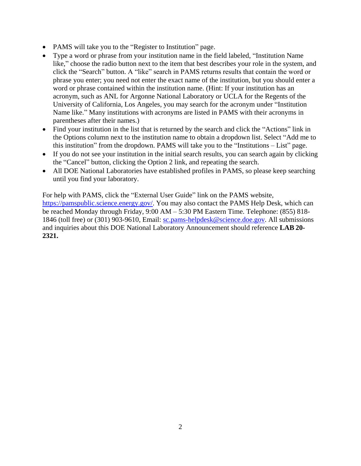- PAMS will take you to the "Register to Institution" page.
- Type a word or phrase from your institution name in the field labeled, "Institution Name like," choose the radio button next to the item that best describes your role in the system, and click the "Search" button. A "like" search in PAMS returns results that contain the word or phrase you enter; you need not enter the exact name of the institution, but you should enter a word or phrase contained within the institution name. (Hint: If your institution has an acronym, such as ANL for Argonne National Laboratory or UCLA for the Regents of the University of California, Los Angeles, you may search for the acronym under "Institution Name like." Many institutions with acronyms are listed in PAMS with their acronyms in parentheses after their names.)
- Find your institution in the list that is returned by the search and click the "Actions" link in the Options column next to the institution name to obtain a dropdown list. Select "Add me to this institution" from the dropdown. PAMS will take you to the "Institutions – List" page.
- If you do not see your institution in the initial search results, you can search again by clicking the "Cancel" button, clicking the Option 2 link, and repeating the search.
- All DOE National Laboratories have established profiles in PAMS, so please keep searching until you find your laboratory.

For help with PAMS, click the "External User Guide" link on the PAMS website, [https://pamspublic.science.energy.gov/.](https://pamspublic.science.energy.gov/) You may also contact the PAMS Help Desk, which can be reached Monday through Friday, 9:00 AM – 5:30 PM Eastern Time. Telephone: (855) 818 1846 (toll free) or (301) 903-9610, Email: [sc.pams-helpdesk@science.doe.gov.](mailto:sc.pams-helpdesk@science.doe.gov) All submissions and inquiries about this DOE National Laboratory Announcement should reference **LAB 20- 2321.**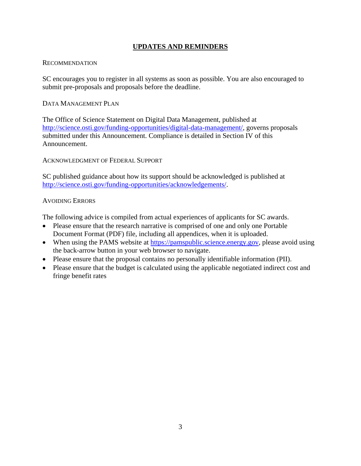# **UPDATES AND REMINDERS**

### <span id="page-5-0"></span>RECOMMENDATION

SC encourages you to register in all systems as soon as possible. You are also encouraged to submit pre-proposals and proposals before the deadline.

### DATA MANAGEMENT PLAN

The Office of Science Statement on Digital Data Management, published at [http://science.osti.gov/funding-opportunities/digital-data-management/,](http://science.osti.gov/funding-opportunities/digital-data-management/) governs proposals submitted under this Announcement. Compliance is detailed in Section IV of this Announcement.

ACKNOWLEDGMENT OF FEDERAL SUPPORT

SC published guidance about how its support should be acknowledged is published at [http://science.osti.gov/funding-opportunities/acknowledgements/.](http://science.osti.gov/funding-opportunities/acknowledgements/)

### AVOIDING ERRORS

The following advice is compiled from actual experiences of applicants for SC awards.

- Please ensure that the research narrative is comprised of one and only one Portable Document Format (PDF) file, including all appendices, when it is uploaded.
- When using the PAMS website at [https://pamspublic.science.energy.gov,](https://pamspublic.science.energy.gov/) please avoid using the back-arrow button in your web browser to navigate.
- Please ensure that the proposal contains no personally identifiable information (PII).
- Please ensure that the budget is calculated using the applicable negotiated indirect cost and fringe benefit rates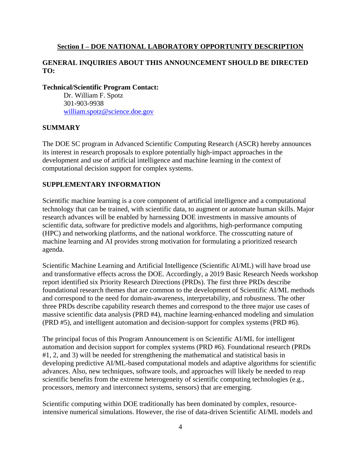### <span id="page-6-0"></span>**Section I – DOE NATIONAL LABORATORY OPPORTUNITY DESCRIPTION**

### **GENERAL INQUIRIES ABOUT THIS ANNOUNCEMENT SHOULD BE DIRECTED TO:**

### **Technical/Scientific Program Contact:**

Dr. William F. Spotz 301-903-9938 [william.spotz@science.doe.gov](mailto:william.spotz@science.doe.gov)

### **SUMMARY**

The DOE SC program in Advanced Scientific Computing Research (ASCR) hereby announces its interest in research proposals to explore potentially high-impact approaches in the development and use of artificial intelligence and machine learning in the context of computational decision support for complex systems.

## **SUPPLEMENTARY INFORMATION**

Scientific machine learning is a core component of artificial intelligence and a computational technology that can be trained, with scientific data, to augment or automate human skills. Major research advances will be enabled by harnessing DOE investments in massive amounts of scientific data, software for predictive models and algorithms, high-performance computing (HPC) and networking platforms, and the national workforce. The crosscutting nature of machine learning and AI provides strong motivation for formulating a prioritized research agenda.

Scientific Machine Learning and Artificial Intelligence (Scientific AI/ML) will have broad use and transformative effects across the DOE. Accordingly, a 2019 Basic Research Needs workshop report identified six Priority Research Directions (PRDs). The first three PRDs describe foundational research themes that are common to the development of Scientific AI/ML methods and correspond to the need for domain-awareness, interpretability, and robustness. The other three PRDs describe capability research themes and correspond to the three major use cases of massive scientific data analysis (PRD #4), machine learning-enhanced modeling and simulation (PRD #5), and intelligent automation and decision-support for complex systems (PRD #6).

The principal focus of this Program Announcement is on Scientific AI/ML for intelligent automation and decision support for complex systems (PRD #6). Foundational research (PRDs #1, 2, and 3) will be needed for strengthening the mathematical and statistical basis in developing predictive AI/ML-based computational models and adaptive algorithms for scientific advances. Also, new techniques, software tools, and approaches will likely be needed to reap scientific benefits from the extreme heterogeneity of scientific computing technologies (e.g., processors, memory and interconnect systems, sensors) that are emerging.

Scientific computing within DOE traditionally has been dominated by complex, resourceintensive numerical simulations. However, the rise of data-driven Scientific AI/ML models and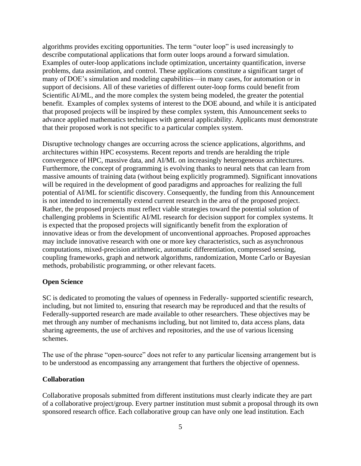algorithms provides exciting opportunities. The term "outer loop" is used increasingly to describe computational applications that form outer loops around a forward simulation. Examples of outer-loop applications include optimization, uncertainty quantification, inverse problems, data assimilation, and control. These applications constitute a significant target of many of DOE's simulation and modeling capabilities—in many cases, for automation or in support of decisions. All of these varieties of different outer-loop forms could benefit from Scientific AI/ML, and the more complex the system being modeled, the greater the potential benefit. Examples of complex systems of interest to the DOE abound, and while it is anticipated that proposed projects will be inspired by these complex system, this Announcement seeks to advance applied mathematics techniques with general applicability. Applicants must demonstrate that their proposed work is not specific to a particular complex system.

Disruptive technology changes are occurring across the science applications, algorithms, and architectures within HPC ecosystems. Recent reports and trends are heralding the triple convergence of HPC, massive data, and AI/ML on increasingly heterogeneous architectures. Furthermore, the concept of programming is evolving thanks to neural nets that can learn from massive amounts of training data (without being explicitly programmed). Significant innovations will be required in the development of good paradigms and approaches for realizing the full potential of AI/ML for scientific discovery. Consequently, the funding from this Announcement is not intended to incrementally extend current research in the area of the proposed project. Rather, the proposed projects must reflect viable strategies toward the potential solution of challenging problems in Scientific AI/ML research for decision support for complex systems. It is expected that the proposed projects will significantly benefit from the exploration of innovative ideas or from the development of unconventional approaches. Proposed approaches may include innovative research with one or more key characteristics, such as asynchronous computations, mixed-precision arithmetic, automatic differentiation, compressed sensing, coupling frameworks, graph and network algorithms, randomization, Monte Carlo or Bayesian methods, probabilistic programming, or other relevant facets.

#### **Open Science**

SC is dedicated to promoting the values of openness in Federally- supported scientific research, including, but not limited to, ensuring that research may be reproduced and that the results of Federally-supported research are made available to other researchers. These objectives may be met through any number of mechanisms including, but not limited to, data access plans, data sharing agreements, the use of archives and repositories, and the use of various licensing schemes.

The use of the phrase "open-source" does not refer to any particular licensing arrangement but is to be understood as encompassing any arrangement that furthers the objective of openness.

#### **Collaboration**

Collaborative proposals submitted from different institutions must clearly indicate they are part of a collaborative project/group. Every partner institution must submit a proposal through its own sponsored research office. Each collaborative group can have only one lead institution. Each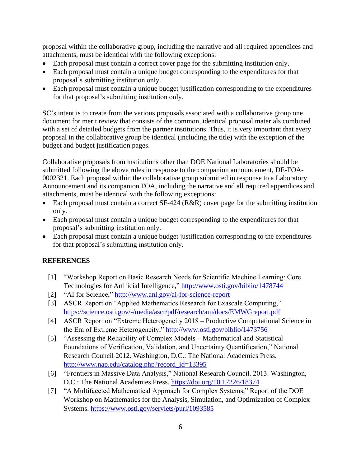proposal within the collaborative group, including the narrative and all required appendices and attachments, must be identical with the following exceptions:

- Each proposal must contain a correct cover page for the submitting institution only.
- Each proposal must contain a unique budget corresponding to the expenditures for that proposal's submitting institution only.
- Each proposal must contain a unique budget justification corresponding to the expenditures for that proposal's submitting institution only.

SC's intent is to create from the various proposals associated with a collaborative group one document for merit review that consists of the common, identical proposal materials combined with a set of detailed budgets from the partner institutions. Thus, it is very important that every proposal in the collaborative group be identical (including the title) with the exception of the budget and budget justification pages.

Collaborative proposals from institutions other than DOE National Laboratories should be submitted following the above rules in response to the companion announcement, DE-FOA-0002321. Each proposal within the collaborative group submitted in response to a Laboratory Announcement and its companion FOA, including the narrative and all required appendices and attachments, must be identical with the following exceptions:

- Each proposal must contain a correct  $SF-424$  ( $R&R$ ) cover page for the submitting institution only.
- Each proposal must contain a unique budget corresponding to the expenditures for that proposal's submitting institution only.
- Each proposal must contain a unique budget justification corresponding to the expenditures for that proposal's submitting institution only.

# **REFERENCES**

- [1] "Workshop Report on Basic Research Needs for Scientific Machine Learning: Core Technologies for Artificial Intelligence,"<http://www.osti.gov/biblio/1478744>
- [2] "AI for Science,"<http://www.anl.gov/ai-for-science-report>
- [3] ASCR Report on "Applied Mathematics Research for Exascale Computing," <https://science.osti.gov/-/media/ascr/pdf/research/am/docs/EMWGreport.pdf>
- [4] ASCR Report on "Extreme Heterogeneity 2018 Productive Computational Science in the Era of Extreme Heterogeneity,"<http://www.osti.gov/biblio/1473756>
- [5] "Assessing the Reliability of Complex Models Mathematical and Statistical Foundations of Verification, Validation, and Uncertainty Quantification," National Research Council 2012. Washington, D.C.: The National Academies Press. [http://www.nap.edu/catalog.php?record\\_id=13395](http://www.nap.edu/catalog.php?record_id=13395)
- [6] "Frontiers in Massive Data Analysis," National Research Council. 2013. Washington, D.C.: The National Academies Press.<https://doi.org/10.17226/18374>
- [7] "A Multifaceted Mathematical Approach for Complex Systems," Report of the DOE Workshop on Mathematics for the Analysis, Simulation, and Optimization of Complex Systems.<https://www.osti.gov/servlets/purl/1093585>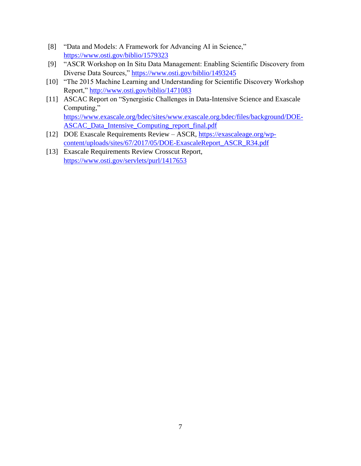- [8] "Data and Models: A Framework for Advancing AI in Science," <https://www.osti.gov/biblio/1579323>
- [9] "ASCR Workshop on In Situ Data Management: Enabling Scientific Discovery from Diverse Data Sources,"<https://www.osti.gov/biblio/1493245>
- [10] "The 2015 Machine Learning and Understanding for Scientific Discovery Workshop Report,"<http://www.osti.gov/biblio/1471083>
- [11] ASCAC Report on "Synergistic Challenges in Data-Intensive Science and Exascale Computing," [https://www.exascale.org/bdec/sites/www.exascale.org.bdec/files/background/DOE-](https://www.exascale.org/bdec/sites/www.exascale.org.bdec/files/background/DOE-ASCAC_Data_Intensive_Computing_report_final.pdf)[ASCAC\\_Data\\_Intensive\\_Computing\\_report\\_final.pdf](https://www.exascale.org/bdec/sites/www.exascale.org.bdec/files/background/DOE-ASCAC_Data_Intensive_Computing_report_final.pdf)
- [12] DOE Exascale Requirements Review ASCR, [https://exascaleage.org/wp](https://exascaleage.org/wp-content/uploads/sites/67/2017/05/DOE-ExascaleReport_ASCR_R34.pdf)[content/uploads/sites/67/2017/05/DOE-ExascaleReport\\_ASCR\\_R34.pdf](https://exascaleage.org/wp-content/uploads/sites/67/2017/05/DOE-ExascaleReport_ASCR_R34.pdf)
- [13] Exascale Requirements Review Crosscut Report, <https://www.osti.gov/servlets/purl/1417653>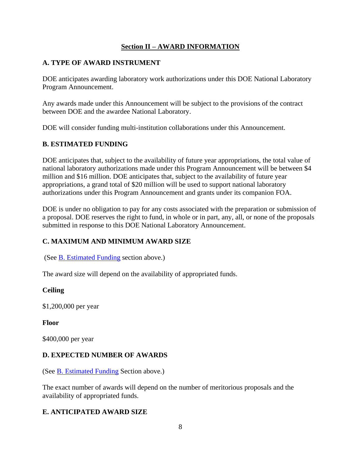# **Section II – AWARD INFORMATION**

# <span id="page-10-1"></span><span id="page-10-0"></span>**A. TYPE OF AWARD INSTRUMENT**

DOE anticipates awarding laboratory work authorizations under this DOE National Laboratory Program Announcement.

Any awards made under this Announcement will be subject to the provisions of the contract between DOE and the awardee National Laboratory.

DOE will consider funding multi-institution collaborations under this Announcement.

# <span id="page-10-2"></span>**B. ESTIMATED FUNDING**

DOE anticipates that, subject to the availability of future year appropriations, the total value of national laboratory authorizations made under this Program Announcement will be between \$4 million and \$16 million. DOE anticipates that, subject to the availability of future year appropriations, a grand total of \$20 million will be used to support national laboratory authorizations under this Program Announcement and grants under its companion FOA.

DOE is under no obligation to pay for any costs associated with the preparation or submission of a proposal. DOE reserves the right to fund, in whole or in part, any, all, or none of the proposals submitted in response to this DOE National Laboratory Announcement.

# <span id="page-10-3"></span>**C. MAXIMUM AND MINIMUM AWARD SIZE**

(See [B. Estimated Funding](#page-10-2) section above.)

The award size will depend on the availability of appropriated funds.

# **Ceiling**

\$1,200,000 per year

# **Floor**

\$400,000 per year

# <span id="page-10-4"></span>**D. EXPECTED NUMBER OF AWARDS**

(See [B. Estimated Funding](#page-10-2) Section above.)

The exact number of awards will depend on the number of meritorious proposals and the availability of appropriated funds.

# <span id="page-10-5"></span>**E. ANTICIPATED AWARD SIZE**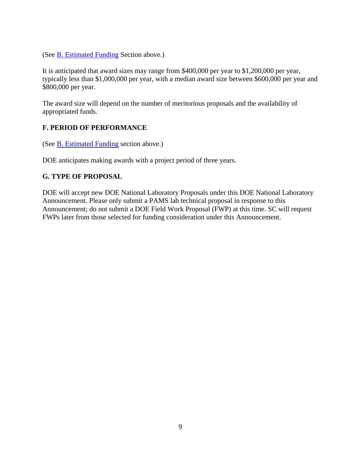(See [B. Estimated Funding](#page-10-2) Section above.)

It is anticipated that award sizes may range from \$400,000 per year to \$1,200,000 per year, typically less than \$1,000,000 per year, with a median award size between \$600,000 per year and \$800,000 per year.

The award size will depend on the number of meritorious proposals and the availability of appropriated funds.

# <span id="page-11-0"></span>**F. PERIOD OF PERFORMANCE**

(See **B**. Estimated Funding section above.)

DOE anticipates making awards with a project period of three years.

# <span id="page-11-1"></span>**G. TYPE OF PROPOSAL**

DOE will accept new DOE National Laboratory Proposals under this DOE National Laboratory Announcement. Please only submit a PAMS lab technical proposal in response to this Announcement; do not submit a DOE Field Work Proposal (FWP) at this time. SC will request FWPs later from those selected for funding consideration under this Announcement.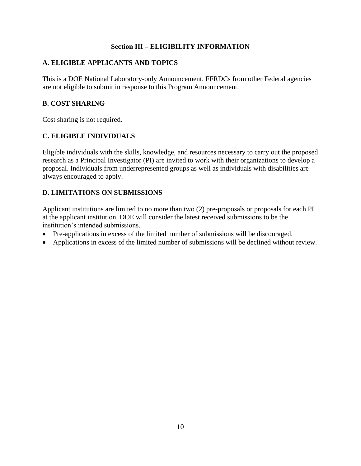# **Section III – ELIGIBILITY INFORMATION**

# <span id="page-12-1"></span><span id="page-12-0"></span>**A. ELIGIBLE APPLICANTS AND TOPICS**

This is a DOE National Laboratory-only Announcement. FFRDCs from other Federal agencies are not eligible to submit in response to this Program Announcement.

# <span id="page-12-2"></span>**B. COST SHARING**

Cost sharing is not required.

# <span id="page-12-3"></span>**C. ELIGIBLE INDIVIDUALS**

Eligible individuals with the skills, knowledge, and resources necessary to carry out the proposed research as a Principal Investigator (PI) are invited to work with their organizations to develop a proposal. Individuals from underrepresented groups as well as individuals with disabilities are always encouraged to apply.

# <span id="page-12-4"></span>**D. LIMITATIONS ON SUBMISSIONS**

Applicant institutions are limited to no more than two (2) pre-proposals or proposals for each PI at the applicant institution. DOE will consider the latest received submissions to be the institution's intended submissions.

- Pre-applications in excess of the limited number of submissions will be discouraged.
- Applications in excess of the limited number of submissions will be declined without review.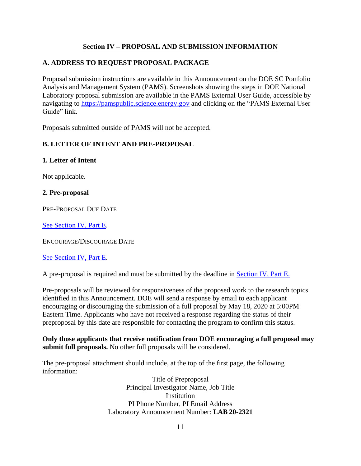# **Section IV – PROPOSAL AND SUBMISSION INFORMATION**

# <span id="page-13-1"></span><span id="page-13-0"></span>**A. ADDRESS TO REQUEST PROPOSAL PACKAGE**

Proposal submission instructions are available in this Announcement on the DOE SC Portfolio Analysis and Management System (PAMS). Screenshots showing the steps in DOE National Laboratory proposal submission are available in the PAMS External User Guide, accessible by navigating to [https://pamspublic.science.energy.gov](https://pamspublic.science.energy.gov/) and clicking on the "PAMS External User Guide" link.

Proposals submitted outside of PAMS will not be accepted.

# <span id="page-13-2"></span>**B. LETTER OF INTENT AND PRE-PROPOSAL**

### **1. Letter of Intent**

Not applicable.

### **2. Pre-proposal**

PRE-PROPOSAL DUE DATE

[See Section IV, Part E.](#page-30-2)

ENCOURAGE/DISCOURAGE DATE

# [See Section IV, Part E.](#page-30-2)

A pre-proposal is required and must be submitted by the deadline in [Section IV, Part E.](#page-30-2)

Pre-proposals will be reviewed for responsiveness of the proposed work to the research topics identified in this Announcement. DOE will send a response by email to each applicant encouraging or discouraging the submission of a full proposal by May 18, 2020 at 5:00PM Eastern Time. Applicants who have not received a response regarding the status of their preproposal by this date are responsible for contacting the program to confirm this status.

**Only those applicants that receive notification from DOE encouraging a full proposal may submit full proposals.** No other full proposals will be considered.

The pre-proposal attachment should include, at the top of the first page, the following information:

> Title of Preproposal Principal Investigator Name, Job Title **Institution** PI Phone Number, PI Email Address Laboratory Announcement Number: **LAB 20-2321**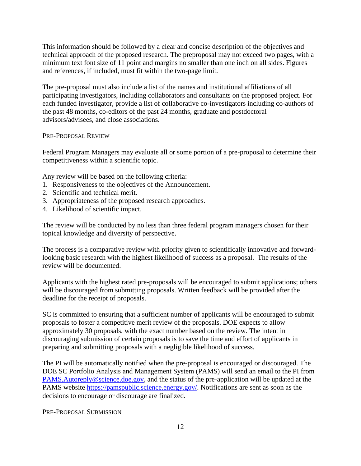This information should be followed by a clear and concise description of the objectives and technical approach of the proposed research. The preproposal may not exceed two pages, with a minimum text font size of 11 point and margins no smaller than one inch on all sides. Figures and references, if included, must fit within the two-page limit.

The pre-proposal must also include a list of the names and institutional affiliations of all participating investigators, including collaborators and consultants on the proposed project. For each funded investigator, provide a list of collaborative co-investigators including co-authors of the past 48 months, co-editors of the past 24 months, graduate and postdoctoral advisors/advisees, and close associations.

### PRE-PROPOSAL REVIEW

Federal Program Managers may evaluate all or some portion of a pre-proposal to determine their competitiveness within a scientific topic.

Any review will be based on the following criteria:

- 1. Responsiveness to the objectives of the Announcement.
- 2. Scientific and technical merit.
- 3. Appropriateness of the proposed research approaches.
- 4. Likelihood of scientific impact.

The review will be conducted by no less than three federal program managers chosen for their topical knowledge and diversity of perspective.

The process is a comparative review with priority given to scientifically innovative and forwardlooking basic research with the highest likelihood of success as a proposal. The results of the review will be documented.

Applicants with the highest rated pre-proposals will be encouraged to submit applications; others will be discouraged from submitting proposals. Written feedback will be provided after the deadline for the receipt of proposals.

SC is committed to ensuring that a sufficient number of applicants will be encouraged to submit proposals to foster a competitive merit review of the proposals. DOE expects to allow approximately 30 proposals, with the exact number based on the review. The intent in discouraging submission of certain proposals is to save the time and effort of applicants in preparing and submitting proposals with a negligible likelihood of success.

The PI will be automatically notified when the pre-proposal is encouraged or discouraged. The DOE SC Portfolio Analysis and Management System (PAMS) will send an email to the PI from [PAMS.Autoreply@science.doe.gov,](mailto:PAMS.Autoreply@science.doe.gov) and the status of the pre-application will be updated at the PAMS website [https://pamspublic.science.energy.gov/.](https://pamspublic.science.energy.gov/) Notifications are sent as soon as the decisions to encourage or discourage are finalized.

PRE-PROPOSAL SUBMISSION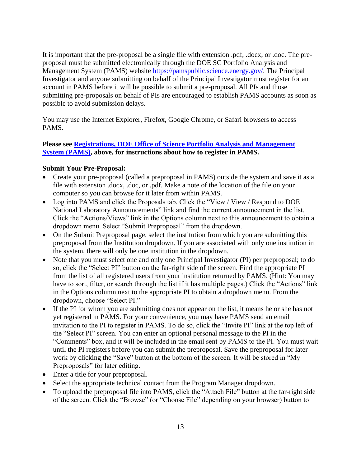It is important that the pre-proposal be a single file with extension .pdf, .docx, or .doc. The preproposal must be submitted electronically through the DOE SC Portfolio Analysis and Management System (PAMS) website [https://pamspublic.science.energy.gov/.](https://pamspublic.science.energy.gov/) The Principal Investigator and anyone submitting on behalf of the Principal Investigator must register for an account in PAMS before it will be possible to submit a pre-proposal. All PIs and those submitting pre-proposals on behalf of PIs are encouraged to establish PAMS accounts as soon as possible to avoid submission delays.

You may use the Internet Explorer, Firefox, Google Chrome, or Safari browsers to access PAMS.

### **Please see [Registrations, DOE Office of Science Portfolio Analysis and Management](#page-3-1)  [System \(PAMS\),](#page-3-1) above, for instructions about how to register in PAMS.**

### **Submit Your Pre-Proposal:**

- Create your pre-proposal (called a preproposal in PAMS) outside the system and save it as a file with extension .docx, .doc, or .pdf. Make a note of the location of the file on your computer so you can browse for it later from within PAMS.
- Log into PAMS and click the Proposals tab. Click the "View / View / Respond to DOE National Laboratory Announcements" link and find the current announcement in the list. Click the "Actions/Views" link in the Options column next to this announcement to obtain a dropdown menu. Select "Submit Preproposal" from the dropdown.
- On the Submit Preproposal page, select the institution from which you are submitting this preproposal from the Institution dropdown. If you are associated with only one institution in the system, there will only be one institution in the dropdown.
- Note that you must select one and only one Principal Investigator (PI) per preproposal; to do so, click the "Select PI" button on the far-right side of the screen. Find the appropriate PI from the list of all registered users from your institution returned by PAMS. (Hint: You may have to sort, filter, or search through the list if it has multiple pages.) Click the "Actions" link in the Options column next to the appropriate PI to obtain a dropdown menu. From the dropdown, choose "Select PI."
- If the PI for whom you are submitting does not appear on the list, it means he or she has not yet registered in PAMS. For your convenience, you may have PAMS send an email invitation to the PI to register in PAMS. To do so, click the "Invite PI" link at the top left of the "Select PI" screen. You can enter an optional personal message to the PI in the "Comments" box, and it will be included in the email sent by PAMS to the PI. You must wait until the PI registers before you can submit the preproposal. Save the preproposal for later work by clicking the "Save" button at the bottom of the screen. It will be stored in "My Preproposals" for later editing.
- Enter a title for your preproposal.
- Select the appropriate technical contact from the Program Manager dropdown.
- To upload the preproposal file into PAMS, click the "Attach File" button at the far-right side of the screen. Click the "Browse" (or "Choose File" depending on your browser) button to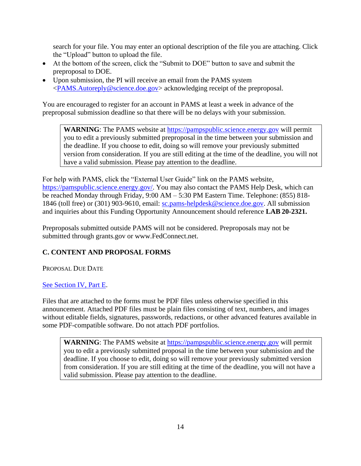search for your file. You may enter an optional description of the file you are attaching. Click the "Upload" button to upload the file.

- At the bottom of the screen, click the "Submit to DOE" button to save and submit the preproposal to DOE.
- Upon submission, the PI will receive an email from the PAMS system [<PAMS.Autoreply@science.doe.gov>](mailto:PAMS.Autoreply@science.doe.gov) acknowledging receipt of the preproposal.

You are encouraged to register for an account in PAMS at least a week in advance of the preproposal submission deadline so that there will be no delays with your submission.

**WARNING**: The PAMS website at [https://pampspublic.science.energy.gov](https://pampspublic.science.energy.gov/) will permit you to edit a previously submitted preproposal in the time between your submission and the deadline. If you choose to edit, doing so will remove your previously submitted version from consideration. If you are still editing at the time of the deadline, you will not have a valid submission. Please pay attention to the deadline.

For help with PAMS, click the "External User Guide" link on the PAMS website, [https://pamspublic.science.energy.gov/.](https://pamspublic.science.energy.gov/) You may also contact the PAMS Help Desk, which can be reached Monday through Friday, 9:00 AM – 5:30 PM Eastern Time. Telephone: (855) 818 1846 (toll free) or (301) 903-9610, email: [sc.pams-helpdesk@science.doe.gov.](mailto:sc.pams-helpdesk@science.doe.gov) All submission and inquiries about this Funding Opportunity Announcement should reference **LAB 20-2321.**

Preproposals submitted outside PAMS will not be considered. Preproposals may not be submitted through grants.gov or www.FedConnect.net.

# <span id="page-16-0"></span>**C. CONTENT AND PROPOSAL FORMS**

PROPOSAL DUE DATE

# [See Section IV, Part E.](#page-30-3)

Files that are attached to the forms must be PDF files unless otherwise specified in this announcement. Attached PDF files must be plain files consisting of text, numbers, and images without editable fields, signatures, passwords, redactions, or other advanced features available in some PDF-compatible software. Do not attach PDF portfolios.

**WARNING**: The PAMS website at [https://pampspublic.science.energy.gov](https://pampspublic.science.energy.gov/) will permit you to edit a previously submitted proposal in the time between your submission and the deadline. If you choose to edit, doing so will remove your previously submitted version from consideration. If you are still editing at the time of the deadline, you will not have a valid submission. Please pay attention to the deadline.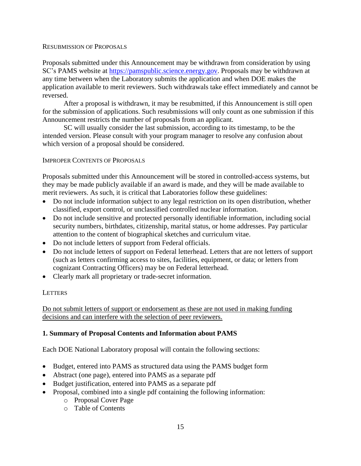### RESUBMISSION OF PROPOSALS

Proposals submitted under this Announcement may be withdrawn from consideration by using SC's PAMS website at [https://pamspublic.science.energy.gov.](https://pamspublic.science.energy.gov/) Proposals may be withdrawn at any time between when the Laboratory submits the application and when DOE makes the application available to merit reviewers. Such withdrawals take effect immediately and cannot be reversed.

After a proposal is withdrawn, it may be resubmitted, if this Announcement is still open for the submission of applications. Such resubmissions will only count as one submission if this Announcement restricts the number of proposals from an applicant.

SC will usually consider the last submission, according to its timestamp, to be the intended version. Please consult with your program manager to resolve any confusion about which version of a proposal should be considered.

### IMPROPER CONTENTS OF PROPOSALS

Proposals submitted under this Announcement will be stored in controlled-access systems, but they may be made publicly available if an award is made, and they will be made available to merit reviewers. As such, it is critical that Laboratories follow these guidelines:

- Do not include information subject to any legal restriction on its open distribution, whether classified, export control, or unclassified controlled nuclear information.
- Do not include sensitive and protected personally identifiable information, including social security numbers, birthdates, citizenship, marital status, or home addresses. Pay particular attention to the content of biographical sketches and curriculum vitae.
- Do not include letters of support from Federal officials.
- Do not include letters of support on Federal letterhead. Letters that are not letters of support (such as letters confirming access to sites, facilities, equipment, or data; or letters from cognizant Contracting Officers) may be on Federal letterhead.
- Clearly mark all proprietary or trade-secret information.

### **LETTERS**

Do not submit letters of support or endorsement as these are not used in making funding decisions and can interfere with the selection of peer reviewers.

# **1. Summary of Proposal Contents and Information about PAMS**

Each DOE National Laboratory proposal will contain the following sections:

- Budget, entered into PAMS as structured data using the PAMS budget form
- Abstract (one page), entered into PAMS as a separate pdf
- Budget justification, entered into PAMS as a separate pdf
- Proposal, combined into a single pdf containing the following information:
	- o Proposal Cover Page
	- o Table of Contents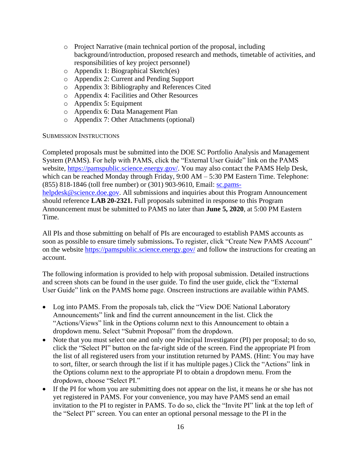- o Project Narrative (main technical portion of the proposal, including background/introduction, proposed research and methods, timetable of activities, and responsibilities of key project personnel)
- o Appendix 1: Biographical Sketch(es)
- o Appendix 2: Current and Pending Support
- o Appendix 3: Bibliography and References Cited
- o Appendix 4: Facilities and Other Resources
- o Appendix 5: Equipment
- o Appendix 6: Data Management Plan
- o Appendix 7: Other Attachments (optional)

#### SUBMISSION INSTRUCTIONS

Completed proposals must be submitted into the DOE SC Portfolio Analysis and Management System (PAMS). For help with PAMS, click the "External User Guide" link on the PAMS website, [https://pamspublic.science.energy.gov/.](https://pamspublic.science.energy.gov/) You may also contact the PAMS Help Desk, which can be reached Monday through Friday, 9:00 AM – 5:30 PM Eastern Time. Telephone: (855) 818-1846 (toll free number) or (301) 903-9610, Email: [sc.pams](mailto:sc.pams-helpdesk@science.doe.gov)[helpdesk@science.doe.gov.](mailto:sc.pams-helpdesk@science.doe.gov) All submissions and inquiries about this Program Announcement should reference **LAB 20-2321.** Full proposals submitted in response to this Program Announcement must be submitted to PAMS no later than **June 5, 2020**, at 5:00 PM Eastern Time.

All PIs and those submitting on behalf of PIs are encouraged to establish PAMS accounts as soon as possible to ensure timely submissions**.** To register, click "Create New PAMS Account" on the website<https://pamspublic.science.energy.gov/> and follow the instructions for creating an account.

The following information is provided to help with proposal submission. Detailed instructions and screen shots can be found in the user guide. To find the user guide, click the "External User Guide" link on the PAMS home page. Onscreen instructions are available within PAMS.

- Log into PAMS. From the proposals tab, click the "View DOE National Laboratory" Announcements" link and find the current announcement in the list. Click the "Actions/Views" link in the Options column next to this Announcement to obtain a dropdown menu. Select "Submit Proposal" from the dropdown.
- Note that you must select one and only one Principal Investigator (PI) per proposal; to do so, click the "Select PI" button on the far-right side of the screen. Find the appropriate PI from the list of all registered users from your institution returned by PAMS. (Hint: You may have to sort, filter, or search through the list if it has multiple pages.) Click the "Actions" link in the Options column next to the appropriate PI to obtain a dropdown menu. From the dropdown, choose "Select PI."
- If the PI for whom you are submitting does not appear on the list, it means he or she has not yet registered in PAMS. For your convenience, you may have PAMS send an email invitation to the PI to register in PAMS. To do so, click the "Invite PI" link at the top left of the "Select PI" screen. You can enter an optional personal message to the PI in the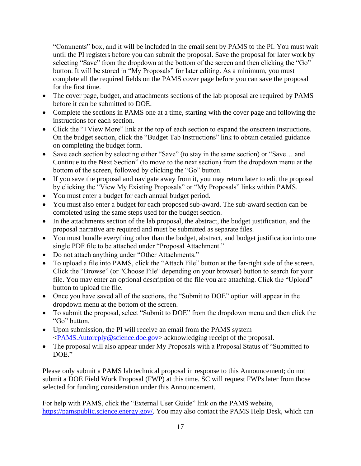"Comments" box, and it will be included in the email sent by PAMS to the PI. You must wait until the PI registers before you can submit the proposal. Save the proposal for later work by selecting "Save" from the dropdown at the bottom of the screen and then clicking the "Go" button. It will be stored in "My Proposals" for later editing. As a minimum, you must complete all the required fields on the PAMS cover page before you can save the proposal for the first time.

- The cover page, budget, and attachments sections of the lab proposal are required by PAMS before it can be submitted to DOE.
- Complete the sections in PAMS one at a time, starting with the cover page and following the instructions for each section.
- Click the "+View More" link at the top of each section to expand the onscreen instructions. On the budget section, click the "Budget Tab Instructions" link to obtain detailed guidance on completing the budget form.
- Save each section by selecting either "Save" (to stay in the same section) or "Save… and Continue to the Next Section" (to move to the next section) from the dropdown menu at the bottom of the screen, followed by clicking the "Go" button.
- If you save the proposal and navigate away from it, you may return later to edit the proposal by clicking the "View My Existing Proposals" or "My Proposals" links within PAMS.
- You must enter a budget for each annual budget period.
- You must also enter a budget for each proposed sub-award. The sub-award section can be completed using the same steps used for the budget section.
- In the attachments section of the lab proposal, the abstract, the budget justification, and the proposal narrative are required and must be submitted as separate files.
- You must bundle everything other than the budget, abstract, and budget justification into one single PDF file to be attached under "Proposal Attachment."
- Do not attach anything under "Other Attachments."
- To upload a file into PAMS, click the "Attach File" button at the far-right side of the screen. Click the "Browse" (or "Choose File" depending on your browser) button to search for your file. You may enter an optional description of the file you are attaching. Click the "Upload" button to upload the file.
- Once you have saved all of the sections, the "Submit to DOE" option will appear in the dropdown menu at the bottom of the screen.
- To submit the proposal, select "Submit to DOE" from the dropdown menu and then click the "Go" button.
- Upon submission, the PI will receive an email from the PAMS system [<PAMS.Autoreply@science.doe.gov>](file://///scnas5p.sc.science.doe.gov/blevili/My%20Documents/_Daily%20Business/_SC-2/_Early%20Career%20Research%20Program/FY2014/Solicitations/PAMS.Autoreply@science.doe.gov) acknowledging receipt of the proposal.
- The proposal will also appear under My Proposals with a Proposal Status of "Submitted to DOE."

Please only submit a PAMS lab technical proposal in response to this Announcement; do not submit a DOE Field Work Proposal (FWP) at this time. SC will request FWPs later from those selected for funding consideration under this Announcement.

For help with PAMS, click the "External User Guide" link on the PAMS website, [https://pamspublic.science.energy.gov/.](https://pamspublic.science.energy.gov/) You may also contact the PAMS Help Desk, which can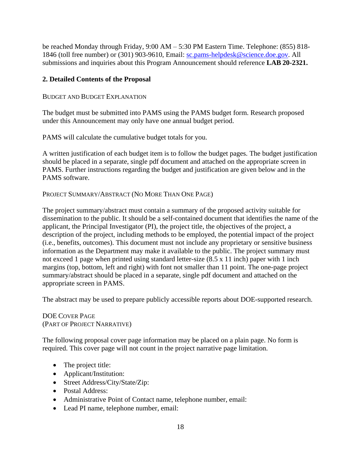be reached Monday through Friday, 9:00 AM – 5:30 PM Eastern Time. Telephone: (855) 818- 1846 (toll free number) or (301) 903-9610, Email: [sc.pams-helpdesk@science.doe.gov.](mailto:sc.pams-helpdesk@science.doe.gov) All submissions and inquiries about this Program Announcement should reference **LAB 20-2321.**

### **2. Detailed Contents of the Proposal**

### BUDGET AND BUDGET EXPLANATION

The budget must be submitted into PAMS using the PAMS budget form. Research proposed under this Announcement may only have one annual budget period.

PAMS will calculate the cumulative budget totals for you.

A written justification of each budget item is to follow the budget pages. The budget justification should be placed in a separate, single pdf document and attached on the appropriate screen in PAMS. Further instructions regarding the budget and justification are given below and in the PAMS software.

PROJECT SUMMARY/ABSTRACT (NO MORE THAN ONE PAGE)

The project summary/abstract must contain a summary of the proposed activity suitable for dissemination to the public. It should be a self-contained document that identifies the name of the applicant, the Principal Investigator (PI), the project title, the objectives of the project, a description of the project, including methods to be employed, the potential impact of the project (i.e., benefits, outcomes). This document must not include any proprietary or sensitive business information as the Department may make it available to the public. The project summary must not exceed 1 page when printed using standard letter-size (8.5 x 11 inch) paper with 1 inch margins (top, bottom, left and right) with font not smaller than 11 point. The one-page project summary/abstract should be placed in a separate, single pdf document and attached on the appropriate screen in PAMS.

The abstract may be used to prepare publicly accessible reports about DOE-supported research.

DOE COVER PAGE (PART OF PROJECT NARRATIVE)

The following proposal cover page information may be placed on a plain page. No form is required. This cover page will not count in the project narrative page limitation.

- The project title:
- Applicant/Institution:
- Street Address/City/State/Zip:
- Postal Address:
- Administrative Point of Contact name, telephone number, email:
- Lead PI name, telephone number, email: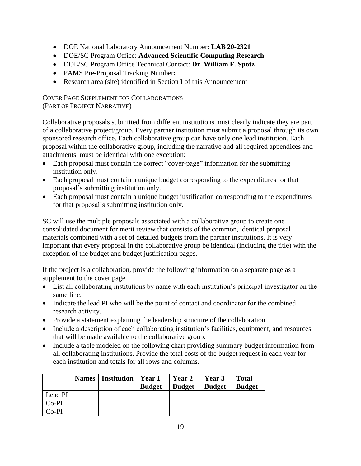- DOE National Laboratory Announcement Number: **LAB 20-2321**
- DOE/SC Program Office: **Advanced Scientific Computing Research**
- DOE/SC Program Office Technical Contact: **Dr. William F. Spotz**
- PAMS Pre-Proposal Tracking Number**:**
- Research area (site) identified in Section I of this Announcement

COVER PAGE SUPPLEMENT FOR COLLABORATIONS (PART OF PROJECT NARRATIVE)

Collaborative proposals submitted from different institutions must clearly indicate they are part of a collaborative project/group. Every partner institution must submit a proposal through its own sponsored research office. Each collaborative group can have only one lead institution. Each proposal within the collaborative group, including the narrative and all required appendices and attachments, must be identical with one exception:

- Each proposal must contain the correct "cover-page" information for the submitting institution only.
- Each proposal must contain a unique budget corresponding to the expenditures for that proposal's submitting institution only.
- Each proposal must contain a unique budget justification corresponding to the expenditures for that proposal's submitting institution only.

SC will use the multiple proposals associated with a collaborative group to create one consolidated document for merit review that consists of the common, identical proposal materials combined with a set of detailed budgets from the partner institutions. It is very important that every proposal in the collaborative group be identical (including the title) with the exception of the budget and budget justification pages.

If the project is a collaboration, provide the following information on a separate page as a supplement to the cover page.

- List all collaborating institutions by name with each institution's principal investigator on the same line.
- Indicate the lead PI who will be the point of contact and coordinator for the combined research activity.
- Provide a statement explaining the leadership structure of the collaboration.
- Include a description of each collaborating institution's facilities, equipment, and resources that will be made available to the collaborative group.
- Include a table modeled on the following chart providing summary budget information from all collaborating institutions. Provide the total costs of the budget request in each year for each institution and totals for all rows and columns.

|         | <b>Names</b>   Institution | Year 1<br><b>Budget</b> | Year 2<br><b>Budget</b> | Year 3<br><b>Budget</b> | <b>Total</b><br><b>Budget</b> |
|---------|----------------------------|-------------------------|-------------------------|-------------------------|-------------------------------|
| Lead PI |                            |                         |                         |                         |                               |
| $Co-PI$ |                            |                         |                         |                         |                               |
| $Co-PI$ |                            |                         |                         |                         |                               |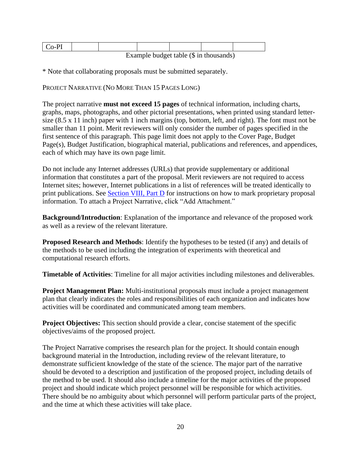Example budget table (\$ in thousands)

\* Note that collaborating proposals must be submitted separately.

PROJECT NARRATIVE (NO MORE THAN 15 PAGES LONG)

The project narrative **must not exceed 15 pages** of technical information, including charts, graphs, maps, photographs, and other pictorial presentations, when printed using standard lettersize (8.5 x 11 inch) paper with 1 inch margins (top, bottom, left, and right). The font must not be smaller than 11 point. Merit reviewers will only consider the number of pages specified in the first sentence of this paragraph. This page limit does not apply to the Cover Page, Budget Page(s), Budget Justification, biographical material, publications and references, and appendices, each of which may have its own page limit.

Do not include any Internet addresses (URLs) that provide supplementary or additional information that constitutes a part of the proposal. Merit reviewers are not required to access Internet sites; however, Internet publications in a list of references will be treated identically to print publications. See [Section VIII, Part D](#page-38-4) for instructions on how to mark proprietary proposal information. To attach a Project Narrative, click "Add Attachment."

**Background/Introduction**: Explanation of the importance and relevance of the proposed work as well as a review of the relevant literature.

**Proposed Research and Methods**: Identify the hypotheses to be tested (if any) and details of the methods to be used including the integration of experiments with theoretical and computational research efforts.

**Timetable of Activities**: Timeline for all major activities including milestones and deliverables.

**Project Management Plan:** Multi-institutional proposals must include a project management plan that clearly indicates the roles and responsibilities of each organization and indicates how activities will be coordinated and communicated among team members.

**Project Objectives:** This section should provide a clear, concise statement of the specific objectives/aims of the proposed project.

The Project Narrative comprises the research plan for the project. It should contain enough background material in the Introduction, including review of the relevant literature, to demonstrate sufficient knowledge of the state of the science. The major part of the narrative should be devoted to a description and justification of the proposed project, including details of the method to be used. It should also include a timeline for the major activities of the proposed project and should indicate which project personnel will be responsible for which activities. There should be no ambiguity about which personnel will perform particular parts of the project, and the time at which these activities will take place.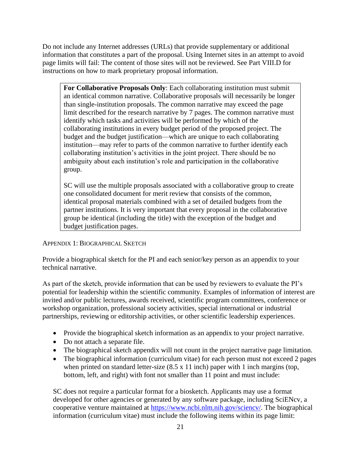Do not include any Internet addresses (URLs) that provide supplementary or additional information that constitutes a part of the proposal. Using Internet sites in an attempt to avoid page limits will fail: The content of those sites will not be reviewed. See Part VIII.D for instructions on how to mark proprietary proposal information.

**For Collaborative Proposals Only**: Each collaborating institution must submit an identical common narrative. Collaborative proposals will necessarily be longer than single-institution proposals. The common narrative may exceed the page limit described for the research narrative by 7 pages. The common narrative must identify which tasks and activities will be performed by which of the collaborating institutions in every budget period of the proposed project. The budget and the budget justification—which are unique to each collaborating institution—may refer to parts of the common narrative to further identify each collaborating institution's activities in the joint project. There should be no ambiguity about each institution's role and participation in the collaborative group.

SC will use the multiple proposals associated with a collaborative group to create one consolidated document for merit review that consists of the common, identical proposal materials combined with a set of detailed budgets from the partner institutions. It is very important that every proposal in the collaborative group be identical (including the title) with the exception of the budget and budget justification pages.

### APPENDIX 1: BIOGRAPHICAL SKETCH

Provide a biographical sketch for the PI and each senior/key person as an appendix to your technical narrative.

As part of the sketch, provide information that can be used by reviewers to evaluate the PI's potential for leadership within the scientific community. Examples of information of interest are invited and/or public lectures, awards received, scientific program committees, conference or workshop organization, professional society activities, special international or industrial partnerships, reviewing or editorship activities, or other scientific leadership experiences.

- Provide the biographical sketch information as an appendix to your project narrative.
- Do not attach a separate file.
- The biographical sketch appendix will not count in the project narrative page limitation.
- The biographical information (curriculum vitae) for each person must not exceed 2 pages when printed on standard letter-size  $(8.5 \times 11 \text{ inch})$  paper with 1 inch margins (top, bottom, left, and right) with font not smaller than 11 point and must include:

SC does not require a particular format for a biosketch. Applicants may use a format developed for other agencies or generated by any software package, including SciENcv, a cooperative venture maintained at https://www.ncbi.nlm.nih.gov/sciency/. The biographical information (curriculum vitae) must include the following items within its page limit: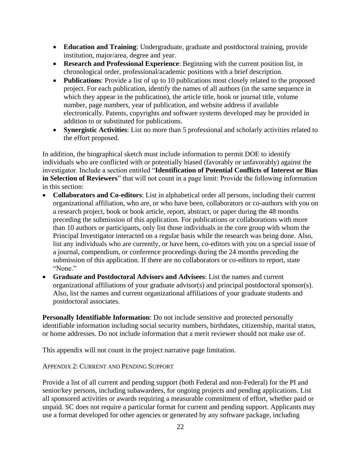- **Education and Training**: Undergraduate, graduate and postdoctoral training, provide institution, major/area, degree and year.
- **Research and Professional Experience**: Beginning with the current position list, in chronological order, professional/academic positions with a brief description.
- **Publications**: Provide a list of up to 10 publications most closely related to the proposed project. For each publication, identify the names of all authors (in the same sequence in which they appear in the publication), the article title, book or journal title, volume number, page numbers, year of publication, and website address if available electronically. Patents, copyrights and software systems developed may be provided in addition to or substituted for publications.
- **Synergistic Activities**: List no more than 5 professional and scholarly activities related to the effort proposed.

In addition, the biographical sketch must include information to permit DOE to identify individuals who are conflicted with or potentially biased (favorably or unfavorably) against the investigator. Include a section entitled "**Identification of Potential Conflicts of Interest or Bias in Selection of Reviewers**" that will not count in a page limit: Provide the following information in this section:

- **Collaborators and Co-editors**: List in alphabetical order all persons, including their current organizational affiliation, who are, or who have been, collaborators or co-authors with you on a research project, book or book article, report, abstract, or paper during the 48 months preceding the submission of this application. For publications or collaborations with more than 10 authors or participants, only list those individuals in the core group with whom the Principal Investigator interacted on a regular basis while the research was being done. Also, list any individuals who are currently, or have been, co-editors with you on a special issue of a journal, compendium, or conference proceedings during the 24 months preceding the submission of this application. If there are no collaborators or co-editors to report, state "None."
- **Graduate and Postdoctoral Advisors and Advisees**: List the names and current organizational affiliations of your graduate advisor(s) and principal postdoctoral sponsor(s). Also, list the names and current organizational affiliations of your graduate students and postdoctoral associates.

**Personally Identifiable Information**: Do not include sensitive and protected personally identifiable information including social security numbers, birthdates, citizenship, marital status, or home addresses. Do not include information that a merit reviewer should not make use of.

This appendix will not count in the project narrative page limitation.

APPENDIX 2: CURRENT AND PENDING SUPPORT

Provide a list of all current and pending support (both Federal and non-Federal) for the PI and senior/key persons, including subawardees, for ongoing projects and pending applications. List all sponsored activities or awards requiring a measurable commitment of effort, whether paid or unpaid. SC does not require a particular format for current and pending support. Applicants may use a format developed for other agencies or generated by any software package, including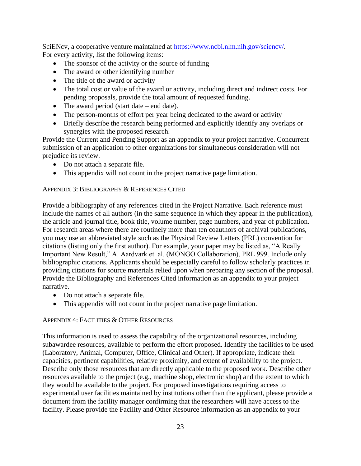SciENcv, a cooperative venture maintained at [https://www.ncbi.nlm.nih.gov/sciencv/.](https://www.ncbi.nlm.nih.gov/sciencv/) For every activity, list the following items:

- The sponsor of the activity or the source of funding
- The award or other identifying number
- The title of the award or activity
- The total cost or value of the award or activity, including direct and indirect costs. For pending proposals, provide the total amount of requested funding.
- The award period (start date end date).
- The person-months of effort per year being dedicated to the award or activity
- Briefly describe the research being performed and explicitly identify any overlaps or synergies with the proposed research.

Provide the Current and Pending Support as an appendix to your project narrative. Concurrent submission of an application to other organizations for simultaneous consideration will not prejudice its review.

- Do not attach a separate file.
- This appendix will not count in the project narrative page limitation.

### APPENDIX 3: BIBLIOGRAPHY & REFERENCES CITED

Provide a bibliography of any references cited in the Project Narrative. Each reference must include the names of all authors (in the same sequence in which they appear in the publication), the article and journal title, book title, volume number, page numbers, and year of publication. For research areas where there are routinely more than ten coauthors of archival publications, you may use an abbreviated style such as the Physical Review Letters (PRL) convention for citations (listing only the first author). For example, your paper may be listed as, "A Really Important New Result," A. Aardvark et. al. (MONGO Collaboration), PRL 999. Include only bibliographic citations. Applicants should be especially careful to follow scholarly practices in providing citations for source materials relied upon when preparing any section of the proposal. Provide the Bibliography and References Cited information as an appendix to your project narrative.

- Do not attach a separate file.
- This appendix will not count in the project narrative page limitation.

#### APPENDIX 4: FACILITIES & OTHER RESOURCES

This information is used to assess the capability of the organizational resources, including subawardee resources, available to perform the effort proposed. Identify the facilities to be used (Laboratory, Animal, Computer, Office, Clinical and Other). If appropriate, indicate their capacities, pertinent capabilities, relative proximity, and extent of availability to the project. Describe only those resources that are directly applicable to the proposed work. Describe other resources available to the project (e.g., machine shop, electronic shop) and the extent to which they would be available to the project. For proposed investigations requiring access to experimental user facilities maintained by institutions other than the applicant, please provide a document from the facility manager confirming that the researchers will have access to the facility. Please provide the Facility and Other Resource information as an appendix to your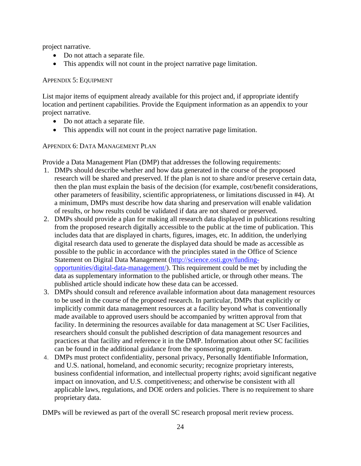project narrative.

- Do not attach a separate file.
- This appendix will not count in the project narrative page limitation.

### APPENDIX 5: EQUIPMENT

List major items of equipment already available for this project and, if appropriate identify location and pertinent capabilities. Provide the Equipment information as an appendix to your project narrative.

- Do not attach a separate file.
- This appendix will not count in the project narrative page limitation.

# APPENDIX 6: DATA MANAGEMENT PLAN

Provide a Data Management Plan (DMP) that addresses the following requirements:

- 1. DMPs should describe whether and how data generated in the course of the proposed research will be [shared](https://cms1.sc.osti.gov/funding-opportunities/digital-data-management/#Sharing) and [preserved.](https://cms1.sc.osti.gov/funding-opportunities/digital-data-management/#Preservation) If the plan is not to share and/or preserve certain data, then the plan must explain the basis of the decision (for example, cost/benefit considerations, other parameters of feasibility, scientific appropriateness, or limitations discussed in #4). At a minimum, DMPs must describe how data sharing and preservation will enable [validation](https://cms1.sc.osti.gov/funding-opportunities/digital-data-management/#Validate) of results, or how results could be validated if data are not shared or preserved.
- 2. DMPs should provide a plan for making all research data displayed in publications resulting from the proposed research digitally accessible to the public at the time of publication. This includes data that are displayed in charts, figures, images, etc. In addition, the underlying digital research data used to generate the displayed data should be made as accessible as possible to the public in accordance with the principles stated in the Office of Science Statement on Digital Data Management [\(http://science.osti.gov/funding](http://science.osti.gov/funding-opportunities/digital-data-management/)[opportunities/digital-data-management/\)](http://science.osti.gov/funding-opportunities/digital-data-management/). This requirement could be met by including the data as supplementary information to the published article, or through other means. The published article should indicate how these data can be accessed.
- 3. DMPs should consult and reference available information about data management resources to be used in the course of the proposed research. In particular, DMPs that explicitly or implicitly commit data management resources at a facility beyond what is conventionally made available to approved users should be accompanied by written approval from that facility. In determining the resources available for data management at SC User Facilities, researchers should consult the published [description of data management resources](https://cms1.sc.osti.gov/funding-opportunities/digital-data-management/resources-at-sc-user-facilities/) and practices at that facility and reference it in the DMP. Information about other SC facilities can be found in the [additional guidance from the sponsoring program.](https://cms1.sc.osti.gov/funding-opportunities/digital-data-management/#AdditionalGuidancePrograms)
- 4. DMPs must protect confidentiality, personal privacy, [Personally Identifiable Information,](https://cms1.sc.osti.gov/funding-opportunities/digital-data-management/faqs/#HSRFAQ) and U.S. national, homeland, and economic security; recognize proprietary interests, business confidential information, and intellectual property rights; avoid significant negative impact on innovation, and U.S. competitiveness; and otherwise be consistent with all applicable laws, regulations, and DOE orders and policies. There is no requirement to share proprietary data.

DMPs will be reviewed as part of the overall SC research proposal merit review process.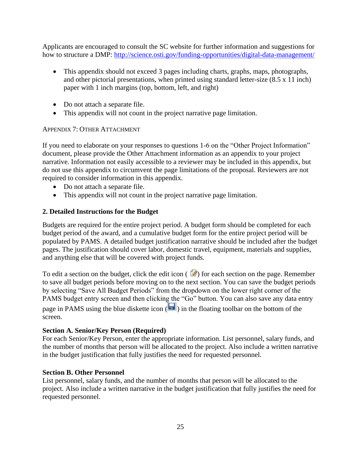Applicants are encouraged to consult the SC website for further information and suggestions for how to structure a DMP: <http://science.osti.gov/funding-opportunities/digital-data-management/>

- This appendix should not exceed 3 pages including charts, graphs, maps, photographs, and other pictorial presentations, when printed using standard letter-size (8.5 x 11 inch) paper with 1 inch margins (top, bottom, left, and right)
- Do not attach a separate file.
- This appendix will not count in the project narrative page limitation.

### APPENDIX 7: OTHER ATTACHMENT

If you need to elaborate on your responses to questions 1-6 on the "Other Project Information" document, please provide the Other Attachment information as an appendix to your project narrative. Information not easily accessible to a reviewer may be included in this appendix, but do not use this appendix to circumvent the page limitations of the proposal. Reviewers are not required to consider information in this appendix.

- Do not attach a separate file.
- This appendix will not count in the project narrative page limitation.

# **2. Detailed Instructions for the Budget**

Budgets are required for the entire project period. A budget form should be completed for each budget period of the award, and a cumulative budget form for the entire project period will be populated by PAMS. A detailed budget justification narrative should be included after the budget pages. The justification should cover labor, domestic travel, equipment, materials and supplies, and anything else that will be covered with project funds.

To edit a section on the budget, click the edit icon  $(\mathbb{Z})$  for each section on the page. Remember to save all budget periods before moving on to the next section. You can save the budget periods by selecting "Save All Budget Periods" from the dropdown on the lower right corner of the PAMS budget entry screen and then clicking the "Go" button. You can also save any data entry page in PAMS using the blue diskette icon  $\sqrt{ }$  in the floating toolbar on the bottom of the screen.

# **Section A. Senior/Key Person (Required)**

For each Senior/Key Person, enter the appropriate information. List personnel, salary funds, and the number of months that person will be allocated to the project. Also include a written narrative in the budget justification that fully justifies the need for requested personnel.

# **Section B. Other Personnel**

List personnel, salary funds, and the number of months that person will be allocated to the project. Also include a written narrative in the budget justification that fully justifies the need for requested personnel.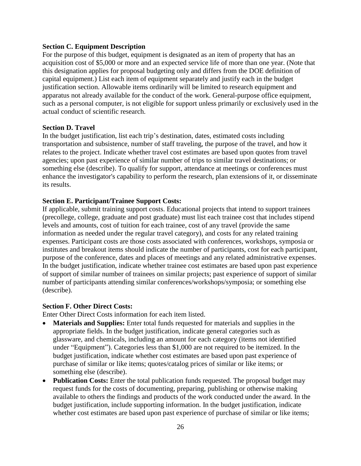#### **Section C. Equipment Description**

For the purpose of this budget, equipment is designated as an item of property that has an acquisition cost of \$5,000 or more and an expected service life of more than one year. (Note that this designation applies for proposal budgeting only and differs from the DOE definition of capital equipment.) List each item of equipment separately and justify each in the budget justification section. Allowable items ordinarily will be limited to research equipment and apparatus not already available for the conduct of the work. General-purpose office equipment, such as a personal computer, is not eligible for support unless primarily or exclusively used in the actual conduct of scientific research.

#### **Section D. Travel**

In the budget justification, list each trip's destination, dates, estimated costs including transportation and subsistence, number of staff traveling, the purpose of the travel, and how it relates to the project. Indicate whether travel cost estimates are based upon quotes from travel agencies; upon past experience of similar number of trips to similar travel destinations; or something else (describe). To qualify for support, attendance at meetings or conferences must enhance the investigator's capability to perform the research, plan extensions of it, or disseminate its results.

#### **Section E. Participant/Trainee Support Costs:**

If applicable, submit training support costs. Educational projects that intend to support trainees (precollege, college, graduate and post graduate) must list each trainee cost that includes stipend levels and amounts, cost of tuition for each trainee, cost of any travel (provide the same information as needed under the regular travel category), and costs for any related training expenses. Participant costs are those costs associated with conferences, workshops, symposia or institutes and breakout items should indicate the number of participants, cost for each participant, purpose of the conference, dates and places of meetings and any related administrative expenses. In the budget justification, indicate whether trainee cost estimates are based upon past experience of support of similar number of trainees on similar projects; past experience of support of similar number of participants attending similar conferences/workshops/symposia; or something else (describe).

#### **Section F. Other Direct Costs:**

Enter Other Direct Costs information for each item listed.

- **Materials and Supplies:** Enter total funds requested for materials and supplies in the appropriate fields. In the budget justification, indicate general categories such as glassware, and chemicals, including an amount for each category (items not identified under "Equipment"). Categories less than \$1,000 are not required to be itemized. In the budget justification, indicate whether cost estimates are based upon past experience of purchase of similar or like items; quotes/catalog prices of similar or like items; or something else (describe).
- Publication Costs: Enter the total publication funds requested. The proposal budget may request funds for the costs of documenting, preparing, publishing or otherwise making available to others the findings and products of the work conducted under the award. In the budget justification, include supporting information. In the budget justification, indicate whether cost estimates are based upon past experience of purchase of similar or like items;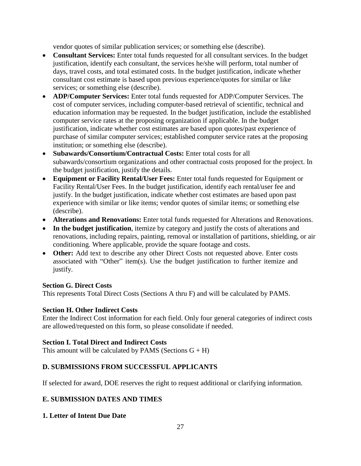vendor quotes of similar publication services; or something else (describe).

- **Consultant Services:** Enter total funds requested for all consultant services. In the budget justification, identify each consultant, the services he/she will perform, total number of days, travel costs, and total estimated costs. In the budget justification, indicate whether consultant cost estimate is based upon previous experience/quotes for similar or like services; or something else (describe).
- **ADP/Computer Services:** Enter total funds requested for ADP/Computer Services. The cost of computer services, including computer-based retrieval of scientific, technical and education information may be requested. In the budget justification, include the established computer service rates at the proposing organization if applicable. In the budget justification, indicate whether cost estimates are based upon quotes/past experience of purchase of similar computer services; established computer service rates at the proposing institution; or something else (describe).
- **Subawards/Consortium/Contractual Costs:** Enter total costs for all subawards/consortium organizations and other contractual costs proposed for the project. In the budget justification, justify the details.
- **Equipment or Facility Rental/User Fees:** Enter total funds requested for Equipment or Facility Rental/User Fees. In the budget justification, identify each rental/user fee and justify. In the budget justification, indicate whether cost estimates are based upon past experience with similar or like items; vendor quotes of similar items; or something else (describe).
- **Alterations and Renovations:** Enter total funds requested for Alterations and Renovations.
- **In the budget justification**, itemize by category and justify the costs of alterations and renovations, including repairs, painting, removal or installation of partitions, shielding, or air conditioning. Where applicable, provide the square footage and costs.
- **Other:** Add text to describe any other Direct Costs not requested above. Enter costs associated with "Other" item(s). Use the budget justification to further itemize and justify.

### **Section G. Direct Costs**

This represents Total Direct Costs (Sections A thru F) and will be calculated by PAMS.

### **Section H. Other Indirect Costs**

Enter the Indirect Cost information for each field. Only four general categories of indirect costs are allowed/requested on this form, so please consolidate if needed.

### **Section I. Total Direct and Indirect Costs**

This amount will be calculated by PAMS (Sections  $G + H$ )

# <span id="page-29-0"></span>**D. SUBMISSIONS FROM SUCCESSFUL APPLICANTS**

If selected for award, DOE reserves the right to request additional or clarifying information.

# <span id="page-29-1"></span>**E. SUBMISSION DATES AND TIMES**

# **1. Letter of Intent Due Date**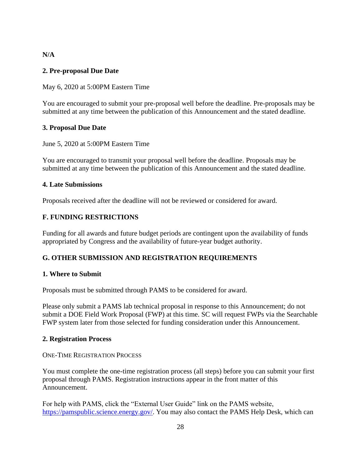### **N/A**

### <span id="page-30-2"></span>**2. Pre-proposal Due Date**

May 6, 2020 at 5:00PM Eastern Time

You are encouraged to submit your pre-proposal well before the deadline. Pre-proposals may be submitted at any time between the publication of this Announcement and the stated deadline.

### <span id="page-30-3"></span>**3. Proposal Due Date**

### June 5, 2020 at 5:00PM Eastern Time

You are encouraged to transmit your proposal well before the deadline. Proposals may be submitted at any time between the publication of this Announcement and the stated deadline.

### **4. Late Submissions**

Proposals received after the deadline will not be reviewed or considered for award.

### <span id="page-30-0"></span>**F. FUNDING RESTRICTIONS**

Funding for all awards and future budget periods are contingent upon the availability of funds appropriated by Congress and the availability of future-year budget authority.

# <span id="page-30-1"></span>**G. OTHER SUBMISSION AND REGISTRATION REQUIREMENTS**

### **1. Where to Submit**

Proposals must be submitted through PAMS to be considered for award.

Please only submit a PAMS lab technical proposal in response to this Announcement; do not submit a DOE Field Work Proposal (FWP) at this time. SC will request FWPs via the Searchable FWP system later from those selected for funding consideration under this Announcement.

#### **2. Registration Process**

ONE-TIME REGISTRATION PROCESS

You must complete the one-time registration process (all steps) before you can submit your first proposal through PAMS. Registration instructions appear in the front matter of this Announcement.

For help with PAMS, click the "External User Guide" link on the PAMS website, [https://pamspublic.science.energy.gov/.](https://pamspublic.science.energy.gov/) You may also contact the PAMS Help Desk, which can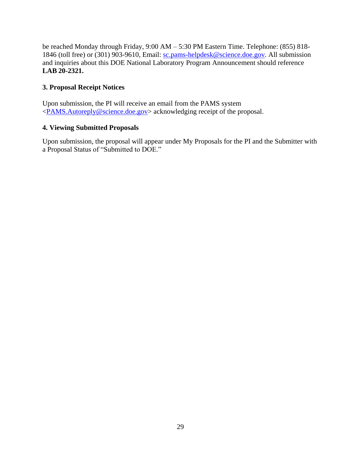be reached Monday through Friday, 9:00 AM – 5:30 PM Eastern Time. Telephone: (855) 818 1846 (toll free) or (301) 903-9610, Email: [sc.pams-helpdesk@science.doe.gov.](mailto:sc.pams-helpdesk@science.doe.gov) All submission and inquiries about this DOE National Laboratory Program Announcement should reference **LAB 20-2321.**

# **3. Proposal Receipt Notices**

Upon submission, the PI will receive an email from the PAMS system [<PAMS.Autoreply@science.doe.gov>](file://///scnas5p.sc.science.doe.gov/blevili/My%20Documents/_Daily%20Business/_SC-2/_Early%20Career%20Research%20Program/FY2014/Solicitations/PAMS.Autoreply@science.doe.gov) acknowledging receipt of the proposal.

# **4. Viewing Submitted Proposals**

Upon submission, the proposal will appear under My Proposals for the PI and the Submitter with a Proposal Status of "Submitted to DOE."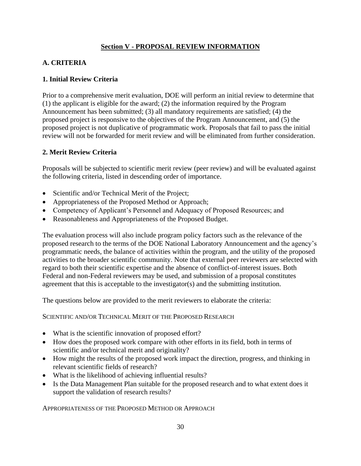# **Section V - PROPOSAL REVIEW INFORMATION**

# <span id="page-32-1"></span><span id="page-32-0"></span>**A. CRITERIA**

### **1. Initial Review Criteria**

Prior to a comprehensive merit evaluation, DOE will perform an initial review to determine that (1) the applicant is eligible for the award; (2) the information required by the Program Announcement has been submitted; (3) all mandatory requirements are satisfied; (4) the proposed project is responsive to the objectives of the Program Announcement, and (5) the proposed project is not duplicative of programmatic work. Proposals that fail to pass the initial review will not be forwarded for merit review and will be eliminated from further consideration.

### **2. Merit Review Criteria**

Proposals will be subjected to scientific merit review (peer review) and will be evaluated against the following criteria, listed in descending order of importance.

- Scientific and/or Technical Merit of the Project;
- Appropriateness of the Proposed Method or Approach;
- Competency of Applicant's Personnel and Adequacy of Proposed Resources; and
- Reasonableness and Appropriateness of the Proposed Budget.

The evaluation process will also include program policy factors such as the relevance of the proposed research to the terms of the DOE National Laboratory Announcement and the agency's programmatic needs, the balance of activities within the program, and the utility of the proposed activities to the broader scientific community. Note that external peer reviewers are selected with regard to both their scientific expertise and the absence of conflict-of-interest issues. Both Federal and non-Federal reviewers may be used, and submission of a proposal constitutes agreement that this is acceptable to the investigator(s) and the submitting institution.

The questions below are provided to the merit reviewers to elaborate the criteria:

SCIENTIFIC AND/OR TECHNICAL MERIT OF THE PROPOSED RESEARCH

- What is the scientific innovation of proposed effort?
- How does the proposed work compare with other efforts in its field, both in terms of scientific and/or technical merit and originality?
- How might the results of the proposed work impact the direction, progress, and thinking in relevant scientific fields of research?
- What is the likelihood of achieving influential results?
- Is the Data Management Plan suitable for the proposed research and to what extent does it support the validation of research results?

APPROPRIATENESS OF THE PROPOSED METHOD OR APPROACH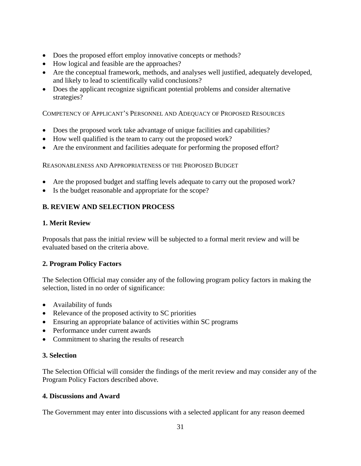- Does the proposed effort employ innovative concepts or methods?
- How logical and feasible are the approaches?
- Are the conceptual framework, methods, and analyses well justified, adequately developed, and likely to lead to scientifically valid conclusions?
- Does the applicant recognize significant potential problems and consider alternative strategies?

COMPETENCY OF APPLICANT'S PERSONNEL AND ADEQUACY OF PROPOSED RESOURCES

- Does the proposed work take advantage of unique facilities and capabilities?
- How well qualified is the team to carry out the proposed work?
- Are the environment and facilities adequate for performing the proposed effort?

REASONABLENESS AND APPROPRIATENESS OF THE PROPOSED BUDGET

- Are the proposed budget and staffing levels adequate to carry out the proposed work?
- Is the budget reasonable and appropriate for the scope?

# <span id="page-33-0"></span>**B. REVIEW AND SELECTION PROCESS**

### **1. Merit Review**

Proposals that pass the initial review will be subjected to a formal merit review and will be evaluated based on the criteria above.

# **2. Program Policy Factors**

The Selection Official may consider any of the following program policy factors in making the selection, listed in no order of significance:

- Availability of funds
- Relevance of the proposed activity to SC priorities
- Ensuring an appropriate balance of activities within SC programs
- Performance under current awards
- Commitment to sharing the results of research

### **3. Selection**

The Selection Official will consider the findings of the merit review and may consider any of the Program Policy Factors described above.

### **4. Discussions and Award**

The Government may enter into discussions with a selected applicant for any reason deemed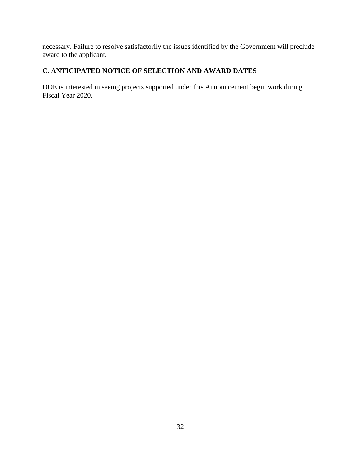necessary. Failure to resolve satisfactorily the issues identified by the Government will preclude award to the applicant.

# <span id="page-34-0"></span>**C. ANTICIPATED NOTICE OF SELECTION AND AWARD DATES**

DOE is interested in seeing projects supported under this Announcement begin work during Fiscal Year 2020.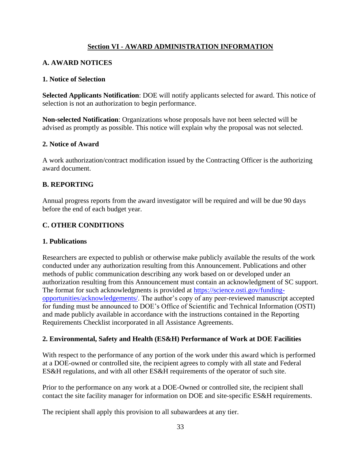# **Section VI - AWARD ADMINISTRATION INFORMATION**

# <span id="page-35-1"></span><span id="page-35-0"></span>**A. AWARD NOTICES**

### **1. Notice of Selection**

**Selected Applicants Notification**: DOE will notify applicants selected for award. This notice of selection is not an authorization to begin performance.

**Non-selected Notification**: Organizations whose proposals have not been selected will be advised as promptly as possible. This notice will explain why the proposal was not selected.

### **2. Notice of Award**

A work authorization/contract modification issued by the Contracting Officer is the authorizing award document.

# <span id="page-35-2"></span>**B. REPORTING**

Annual progress reports from the award investigator will be required and will be due 90 days before the end of each budget year.

# <span id="page-35-3"></span>**C. OTHER CONDITIONS**

### **1. Publications**

Researchers are expected to publish or otherwise make publicly available the results of the work conducted under any authorization resulting from this Announcement. Publications and other methods of public communication describing any work based on or developed under an authorization resulting from this Announcement must contain an acknowledgment of SC support. The format for such acknowledgments is provided at [https://science.osti.gov/funding](https://science.osti.gov/funding-opportunities/acknowledgements/)[opportunities/acknowledgements/.](https://science.osti.gov/funding-opportunities/acknowledgements/) The author's copy of any peer-reviewed manuscript accepted for funding must be announced to DOE's Office of Scientific and Technical Information (OSTI) and made publicly available in accordance with the instructions contained in the Reporting Requirements Checklist incorporated in all Assistance Agreements.

# **2. Environmental, Safety and Health (ES&H) Performance of Work at DOE Facilities**

With respect to the performance of any portion of the work under this award which is performed at a DOE-owned or controlled site, the recipient agrees to comply with all state and Federal ES&H regulations, and with all other ES&H requirements of the operator of such site.

Prior to the performance on any work at a DOE-Owned or controlled site, the recipient shall contact the site facility manager for information on DOE and site-specific ES&H requirements.

The recipient shall apply this provision to all subawardees at any tier.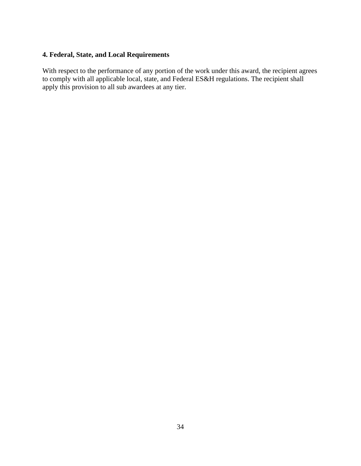# **4. Federal, State, and Local Requirements**

With respect to the performance of any portion of the work under this award, the recipient agrees to comply with all applicable local, state, and Federal ES&H regulations. The recipient shall apply this provision to all sub awardees at any tier.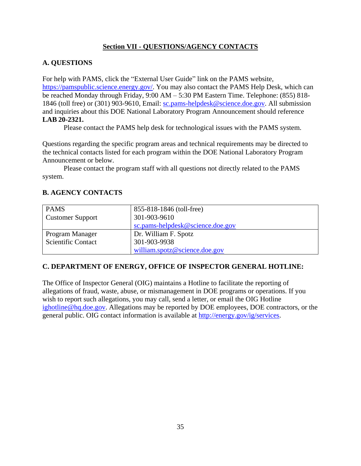# **Section VII - QUESTIONS/AGENCY CONTACTS**

# <span id="page-37-1"></span><span id="page-37-0"></span>**A. QUESTIONS**

For help with PAMS, click the "External User Guide" link on the PAMS website, [https://pamspublic.science.energy.gov/.](https://pamspublic.science.energy.gov/) You may also contact the PAMS Help Desk, which can be reached Monday through Friday, 9:00 AM – 5:30 PM Eastern Time. Telephone: (855) 818- 1846 (toll free) or (301) 903-9610, Email: [sc.pams-helpdesk@science.doe.gov.](mailto:sc.pams-helpdesk@science.doe.gov) All submission and inquiries about this DOE National Laboratory Program Announcement should reference **LAB 20-2321.**

Please contact the PAMS help desk for technological issues with the PAMS system.

Questions regarding the specific program areas and technical requirements may be directed to the technical contacts listed for each program within the DOE National Laboratory Program Announcement or below.

Please contact the program staff with all questions not directly related to the PAMS system.

# <span id="page-37-2"></span>**B. AGENCY CONTACTS**

| <b>PAMS</b>               | 855-818-1846 (toll-free)         |  |
|---------------------------|----------------------------------|--|
| <b>Customer Support</b>   | 301-903-9610                     |  |
|                           | sc.pams-helpdesk@science.doe.gov |  |
| Program Manager           | Dr. William F. Spotz             |  |
| <b>Scientific Contact</b> | 301-903-9938                     |  |
|                           | william.spotz@science.doe.gov    |  |

# **C. DEPARTMENT OF ENERGY, OFFICE OF INSPECTOR GENERAL HOTLINE:**

The Office of Inspector General (OIG) maintains a Hotline to facilitate the reporting of allegations of fraud, waste, abuse, or mismanagement in DOE programs or operations. If you wish to report such allegations, you may call, send a letter, or email the OIG Hotline [ighotline@hq.doe.gov.](mailto:ighotline@hq.doe.gov) Allegations may be reported by DOE employees, DOE contractors, or the general public. OIG contact information is available at [http://energy.gov/ig/services.](http://energy.gov/ig/services)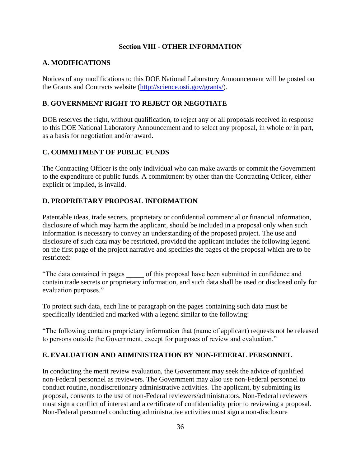# **Section VIII - OTHER INFORMATION**

# <span id="page-38-1"></span><span id="page-38-0"></span>**A. MODIFICATIONS**

Notices of any modifications to this DOE National Laboratory Announcement will be posted on the Grants and Contracts website [\(http://science.osti.gov/grants/\)](http://science.osti.gov/grants/).

# <span id="page-38-2"></span>**B. GOVERNMENT RIGHT TO REJECT OR NEGOTIATE**

DOE reserves the right, without qualification, to reject any or all proposals received in response to this DOE National Laboratory Announcement and to select any proposal, in whole or in part, as a basis for negotiation and/or award.

# <span id="page-38-3"></span>**C. COMMITMENT OF PUBLIC FUNDS**

The Contracting Officer is the only individual who can make awards or commit the Government to the expenditure of public funds. A commitment by other than the Contracting Officer, either explicit or implied, is invalid.

# <span id="page-38-4"></span>**D. PROPRIETARY PROPOSAL INFORMATION**

Patentable ideas, trade secrets, proprietary or confidential commercial or financial information, disclosure of which may harm the applicant, should be included in a proposal only when such information is necessary to convey an understanding of the proposed project. The use and disclosure of such data may be restricted, provided the applicant includes the following legend on the first page of the project narrative and specifies the pages of the proposal which are to be restricted:

"The data contained in pages \_\_\_\_\_ of this proposal have been submitted in confidence and contain trade secrets or proprietary information, and such data shall be used or disclosed only for evaluation purposes."

To protect such data, each line or paragraph on the pages containing such data must be specifically identified and marked with a legend similar to the following:

"The following contains proprietary information that (name of applicant) requests not be released to persons outside the Government, except for purposes of review and evaluation."

# <span id="page-38-5"></span>**E. EVALUATION AND ADMINISTRATION BY NON-FEDERAL PERSONNEL**

In conducting the merit review evaluation, the Government may seek the advice of qualified non-Federal personnel as reviewers. The Government may also use non-Federal personnel to conduct routine, nondiscretionary administrative activities. The applicant, by submitting its proposal, consents to the use of non-Federal reviewers/administrators. Non-Federal reviewers must sign a conflict of interest and a certificate of confidentiality prior to reviewing a proposal. Non-Federal personnel conducting administrative activities must sign a non-disclosure